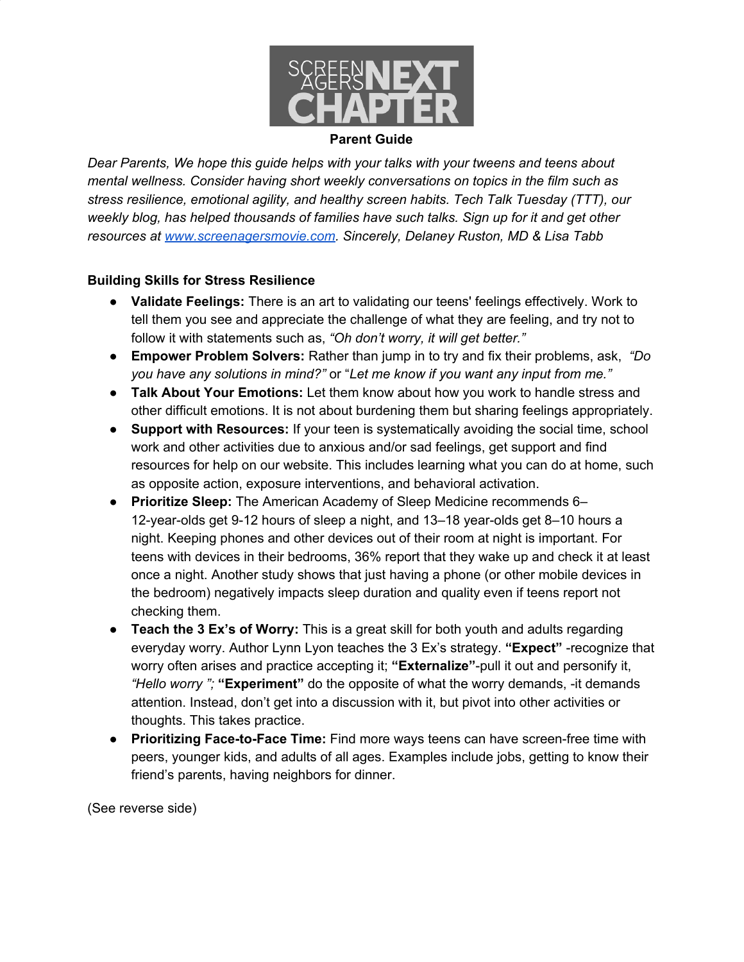

#### **Parent Guide**

*Dear Parents, We hope this guide helps with your talks with your tweens and teens about mental wellness. Consider having short weekly conversations on topics in the film such as stress resilience, emotional agility, and healthy screen habits. Tech Talk Tuesday (TTT), our weekly blog, has helped thousands of families have such talks. Sign up for it and get other resources at [www.screenagersmovie.com](http://www.screenagersmovie.com/). Sincerely, Delaney Ruston, MD & Lisa Tabb*

#### **Building Skills for Stress Resilience**

- **Validate Feelings:** There is an art to validating our teens' feelings effectively. Work to tell them you see and appreciate the challenge of what they are feeling, and try not to follow it with statements such as, *"Oh don't worry, it will get better."*
- **Empower Problem Solvers:** Rather than jump in to try and fix their problems, ask, *"Do you have any solutions in mind?"* or "*Let me know if you want any input from me."*
- **Talk About Your Emotions:** Let them know about how you work to handle stress and other difficult emotions. It is not about burdening them but sharing feelings appropriately.
- **Support with Resources:** If your teen is systematically avoiding the social time, school work and other activities due to anxious and/or sad feelings, get support and find resources for help on our website. This includes learning what you can do at home, such as opposite action, exposure interventions, and behavioral activation.
- **Prioritize Sleep:** The American Academy of Sleep Medicine recommends 6– 12-year-olds get 9-12 hours of sleep a night, and 13–18 year-olds get 8–10 hours a night. Keeping phones and other devices out of their room at night is important. For teens with devices in their bedrooms, 36% report that they wake up and check it at least once a night. Another study shows that just having a phone (or other mobile devices in the bedroom) negatively impacts sleep duration and quality even if teens report not checking them.
- **Teach the 3 Ex's of Worry:** This is a great skill for both youth and adults regarding everyday worry. Author Lynn Lyon teaches the 3 Ex's strategy. **"Expect"** -recognize that worry often arises and practice accepting it; **"Externalize"**-pull it out and personify it, *"Hello worry ";* **"Experiment"** do the opposite of what the worry demands, -it demands attention. Instead, don't get into a discussion with it, but pivot into other activities or thoughts. This takes practice.
- **Prioritizing Face-to-Face Time:** Find more ways teens can have screen-free time with peers, younger kids, and adults of all ages. Examples include jobs, getting to know their friend's parents, having neighbors for dinner.

(See reverse side)